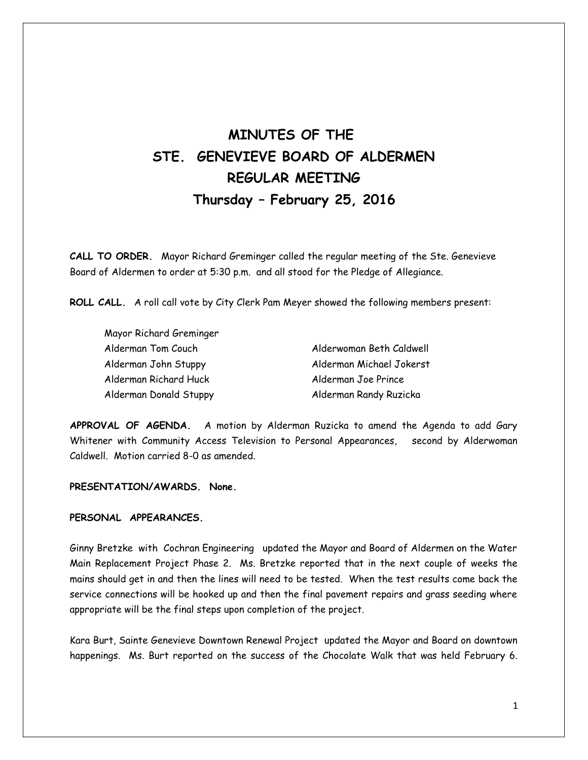# **MINUTES OF THE STE. GENEVIEVE BOARD OF ALDERMEN REGULAR MEETING Thursday – February 25, 2016**

**CALL TO ORDER.** Mayor Richard Greminger called the regular meeting of the Ste. Genevieve Board of Aldermen to order at 5:30 p.m. and all stood for the Pledge of Allegiance.

**ROLL CALL.** A roll call vote by City Clerk Pam Meyer showed the following members present:

Mayor Richard Greminger Alderman Tom Couch Alderwoman Beth Caldwell Alderman John Stuppy Alderman Michael Jokerst Alderman Richard Huck Alderman Joe Prince Alderman Donald Stuppy Alderman Randy Ruzicka

**APPROVAL OF AGENDA.** A motion by Alderman Ruzicka to amend the Agenda to add Gary Whitener with Community Access Television to Personal Appearances, second by Alderwoman Caldwell. Motion carried 8-0 as amended.

# **PRESENTATION/AWARDS. None.**

# **PERSONAL APPEARANCES.**

Ginny Bretzke with Cochran Engineering updated the Mayor and Board of Aldermen on the Water Main Replacement Project Phase 2. Ms. Bretzke reported that in the next couple of weeks the mains should get in and then the lines will need to be tested. When the test results come back the service connections will be hooked up and then the final pavement repairs and grass seeding where appropriate will be the final steps upon completion of the project.

Kara Burt, Sainte Genevieve Downtown Renewal Project updated the Mayor and Board on downtown happenings. Ms. Burt reported on the success of the Chocolate Walk that was held February 6.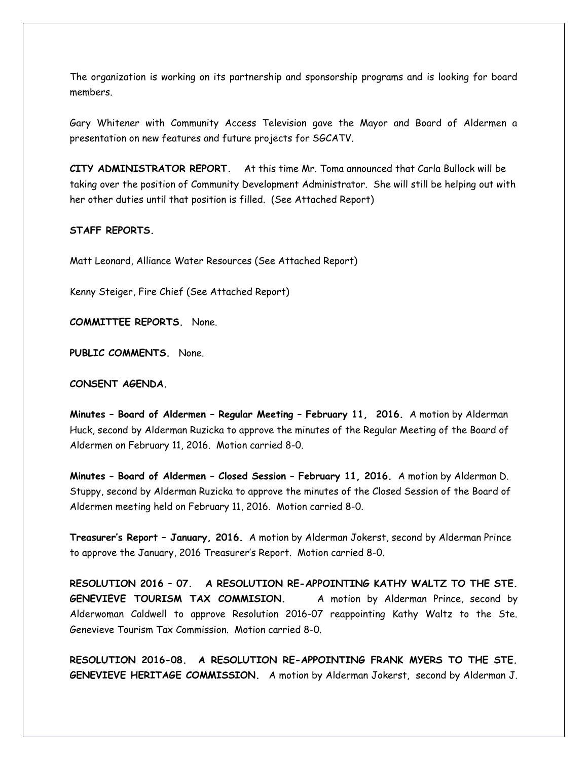The organization is working on its partnership and sponsorship programs and is looking for board members.

Gary Whitener with Community Access Television gave the Mayor and Board of Aldermen a presentation on new features and future projects for SGCATV.

**CITY ADMINISTRATOR REPORT.** At this time Mr. Toma announced that Carla Bullock will be taking over the position of Community Development Administrator. She will still be helping out with her other duties until that position is filled. (See Attached Report)

#### **STAFF REPORTS.**

Matt Leonard, Alliance Water Resources (See Attached Report)

Kenny Steiger, Fire Chief (See Attached Report)

**COMMITTEE REPORTS.** None.

**PUBLIC COMMENTS.** None.

**CONSENT AGENDA.** 

**Minutes – Board of Aldermen – Regular Meeting – February 11, 2016.** A motion by Alderman Huck, second by Alderman Ruzicka to approve the minutes of the Regular Meeting of the Board of Aldermen on February 11, 2016. Motion carried 8-0.

**Minutes – Board of Aldermen – Closed Session – February 11, 2016.** A motion by Alderman D. Stuppy, second by Alderman Ruzicka to approve the minutes of the Closed Session of the Board of Aldermen meeting held on February 11, 2016. Motion carried 8-0.

**Treasurer's Report – January, 2016.** A motion by Alderman Jokerst, second by Alderman Prince to approve the January, 2016 Treasurer's Report. Motion carried 8-0.

**RESOLUTION 2016 – 07. A RESOLUTION RE-APPOINTING KATHY WALTZ TO THE STE. GENEVIEVE TOURISM TAX COMMISION.** A motion by Alderman Prince, second by Alderwoman Caldwell to approve Resolution 2016-07 reappointing Kathy Waltz to the Ste. Genevieve Tourism Tax Commission. Motion carried 8-0.

**RESOLUTION 2016-08. A RESOLUTION RE-APPOINTING FRANK MYERS TO THE STE. GENEVIEVE HERITAGE COMMISSION.** A motion by Alderman Jokerst, second by Alderman J.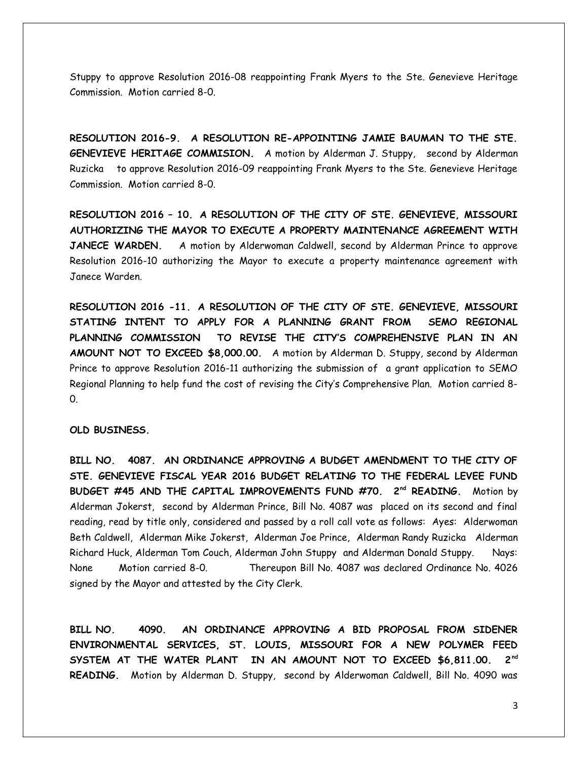Stuppy to approve Resolution 2016-08 reappointing Frank Myers to the Ste. Genevieve Heritage Commission. Motion carried 8-0.

**RESOLUTION 2016-9. A RESOLUTION RE-APPOINTING JAMIE BAUMAN TO THE STE. GENEVIEVE HERITAGE COMMISION.** A motion by Alderman J. Stuppy, second by Alderman Ruzicka to approve Resolution 2016-09 reappointing Frank Myers to the Ste. Genevieve Heritage Commission. Motion carried 8-0.

**RESOLUTION 2016 – 10. A RESOLUTION OF THE CITY OF STE. GENEVIEVE, MISSOURI AUTHORIZING THE MAYOR TO EXECUTE A PROPERTY MAINTENANCE AGREEMENT WITH JANECE WARDEN.** A motion by Alderwoman Caldwell, second by Alderman Prince to approve Resolution 2016-10 authorizing the Mayor to execute a property maintenance agreement with Janece Warden.

**RESOLUTION 2016 -11. A RESOLUTION OF THE CITY OF STE. GENEVIEVE, MISSOURI STATING INTENT TO APPLY FOR A PLANNING GRANT FROM SEMO REGIONAL PLANNING COMMISSION TO REVISE THE CITY'S COMPREHENSIVE PLAN IN AN AMOUNT NOT TO EXCEED \$8,000.00.** A motion by Alderman D. Stuppy, second by Alderman Prince to approve Resolution 2016-11 authorizing the submission of a grant application to SEMO Regional Planning to help fund the cost of revising the City's Comprehensive Plan. Motion carried 8-  $\Omega$ .

## **OLD BUSINESS.**

**BILL NO. 4087. AN ORDINANCE APPROVING A BUDGET AMENDMENT TO THE CITY OF STE. GENEVIEVE FISCAL YEAR 2016 BUDGET RELATING TO THE FEDERAL LEVEE FUND BUDGET #45 AND THE CAPITAL IMPROVEMENTS FUND #70. 2nd READING.** Motion by Alderman Jokerst, second by Alderman Prince, Bill No. 4087 was placed on its second and final reading, read by title only, considered and passed by a roll call vote as follows: Ayes: Alderwoman Beth Caldwell, Alderman Mike Jokerst, Alderman Joe Prince, Alderman Randy Ruzicka Alderman Richard Huck, Alderman Tom Couch, Alderman John Stuppy and Alderman Donald Stuppy. Nays: None Motion carried 8-0. Thereupon Bill No. 4087 was declared Ordinance No. 4026 signed by the Mayor and attested by the City Clerk.

**BILL NO. 4090. AN ORDINANCE APPROVING A BID PROPOSAL FROM SIDENER ENVIRONMENTAL SERVICES, ST. LOUIS, MISSOURI FOR A NEW POLYMER FEED SYSTEM AT THE WATER PLANT IN AN AMOUNT NOT TO EXCEED \$6,811.00. 2nd READING.** Motion by Alderman D. Stuppy, second by Alderwoman Caldwell, Bill No. 4090 was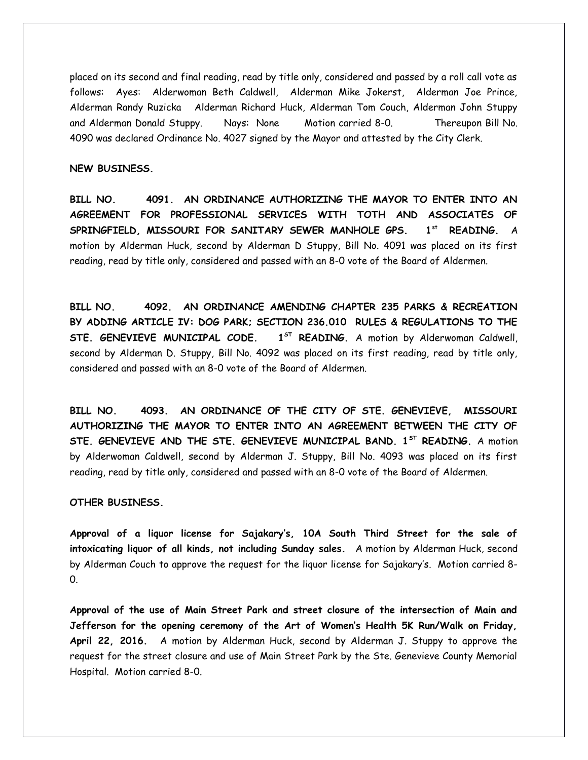placed on its second and final reading, read by title only, considered and passed by a roll call vote as follows: Ayes: Alderwoman Beth Caldwell, Alderman Mike Jokerst, Alderman Joe Prince, Alderman Randy Ruzicka Alderman Richard Huck, Alderman Tom Couch, Alderman John Stuppy and Alderman Donald Stuppy. Nays: None Motion carried 8-0. Thereupon Bill No. 4090 was declared Ordinance No. 4027 signed by the Mayor and attested by the City Clerk.

#### **NEW BUSINESS.**

**BILL NO. 4091. AN ORDINANCE AUTHORIZING THE MAYOR TO ENTER INTO AN AGREEMENT FOR PROFESSIONAL SERVICES WITH TOTH AND ASSOCIATES OF SPRINGFIELD, MISSOURI FOR SANITARY SEWER MANHOLE GPS. 1st READING.** A motion by Alderman Huck, second by Alderman D Stuppy, Bill No. 4091 was placed on its first reading, read by title only, considered and passed with an 8-0 vote of the Board of Aldermen.

**BILL NO. 4092. AN ORDINANCE AMENDING CHAPTER 235 PARKS & RECREATION BY ADDING ARTICLE IV: DOG PARK; SECTION 236.010 RULES & REGULATIONS TO THE STE. GENEVIEVE MUNICIPAL CODE. 1ST READING.** A motion by Alderwoman Caldwell, second by Alderman D. Stuppy, Bill No. 4092 was placed on its first reading, read by title only, considered and passed with an 8-0 vote of the Board of Aldermen.

**BILL NO. 4093. AN ORDINANCE OF THE CITY OF STE. GENEVIEVE, MISSOURI AUTHORIZING THE MAYOR TO ENTER INTO AN AGREEMENT BETWEEN THE CITY OF STE. GENEVIEVE AND THE STE. GENEVIEVE MUNICIPAL BAND. 1ST READING.** A motion by Alderwoman Caldwell, second by Alderman J. Stuppy, Bill No. 4093 was placed on its first reading, read by title only, considered and passed with an 8-0 vote of the Board of Aldermen.

# **OTHER BUSINESS.**

**Approval of a liquor license for Sajakary's, 10A South Third Street for the sale of intoxicating liquor of all kinds, not including Sunday sales.** A motion by Alderman Huck, second by Alderman Couch to approve the request for the liquor license for Sajakary's. Motion carried 8- 0.

**Approval of the use of Main Street Park and street closure of the intersection of Main and Jefferson for the opening ceremony of the Art of Women's Health 5K Run/Walk on Friday, April 22, 2016.** A motion by Alderman Huck, second by Alderman J. Stuppy to approve the request for the street closure and use of Main Street Park by the Ste. Genevieve County Memorial Hospital. Motion carried 8-0.